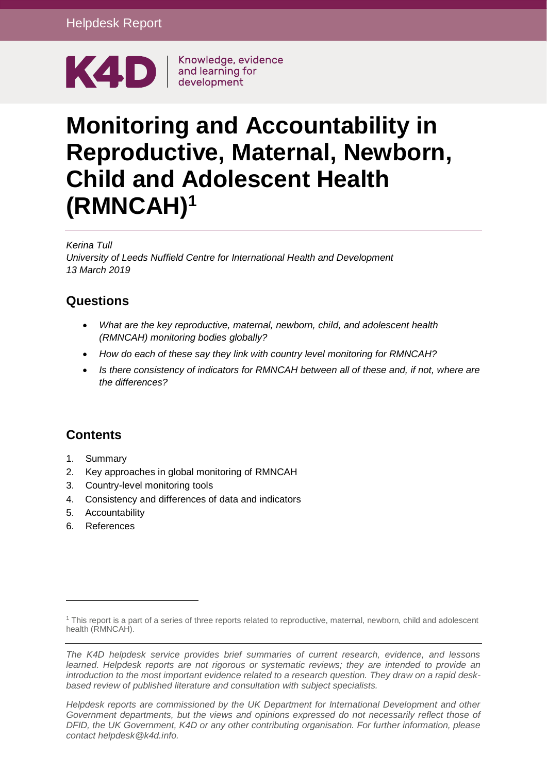

Knowledge, evidence

# **Monitoring and Accountability in Reproductive, Maternal, Newborn, Child and Adolescent Health (RMNCAH)<sup>1</sup>**

#### *Kerina Tull*

*University of Leeds Nuffield Centre for International Health and Development 13 March 2019*

## **Questions**

- *What are the key reproductive, maternal, newborn, child, and adolescent health (RMNCAH) monitoring bodies globally?*
- *How do each of these say they link with country level monitoring for RMNCAH?*
- *Is there consistency of indicators for RMNCAH between all of these and, if not, where are the differences?*

## **Contents**

- 1. [Summary](#page-0-0)
- 2. Key approaches in global monitoring of RMNCAH
- 3. Country-level monitoring tools
- 4. Consistency and differences of data and indicators
- 5. Accountability
- <span id="page-0-0"></span>6. References

<sup>1</sup> This report is a part of a series of three reports related to reproductive, maternal, newborn, child and adolescent health (RMNCAH).

*The K4D helpdesk service provides brief summaries of current research, evidence, and lessons learned. Helpdesk reports are not rigorous or systematic reviews; they are intended to provide an introduction to the most important evidence related to a research question. They draw on a rapid deskbased review of published literature and consultation with subject specialists.* 

*Helpdesk reports are commissioned by the UK Department for International Development and other*  Government departments, but the views and opinions expressed do not necessarily reflect those of *DFID, the UK Government, K4D or any other contributing organisation. For further information, please contact helpdesk@k4d.info.*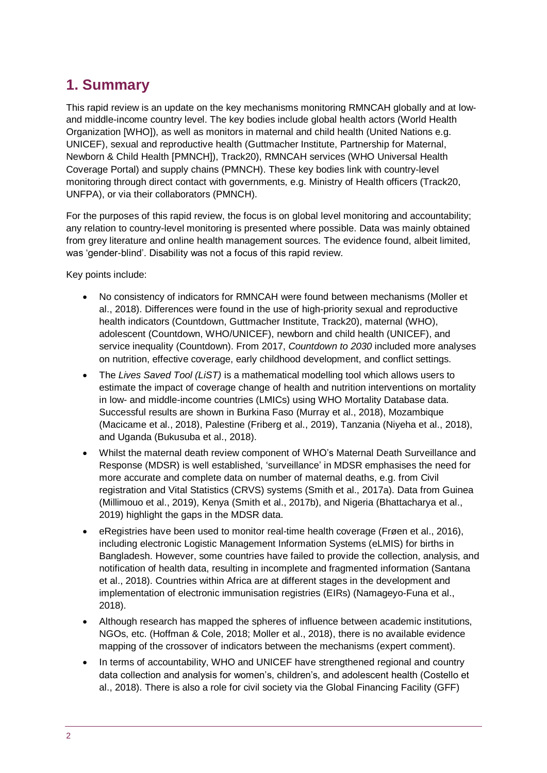# **1. Summary**

This rapid review is an update on the key mechanisms monitoring RMNCAH globally and at lowand middle-income country level. The key bodies include global health actors (World Health Organization [WHO]), as well as monitors in maternal and child health (United Nations e.g. UNICEF), sexual and reproductive health (Guttmacher Institute, Partnership for Maternal, Newborn & Child Health [PMNCH]), Track20), RMNCAH services (WHO Universal Health Coverage Portal) and supply chains (PMNCH). These key bodies link with country-level monitoring through direct contact with governments, e.g. Ministry of Health officers (Track20, UNFPA), or via their collaborators (PMNCH).

For the purposes of this rapid review, the focus is on global level monitoring and accountability; any relation to country-level monitoring is presented where possible. Data was mainly obtained from grey literature and online health management sources. The evidence found, albeit limited, was 'gender-blind'. Disability was not a focus of this rapid review.

Key points include:

- No consistency of indicators for RMNCAH were found between mechanisms (Moller et al., 2018). Differences were found in the use of high-priority sexual and reproductive health indicators (Countdown, Guttmacher Institute, Track20), maternal (WHO), adolescent (Countdown, WHO/UNICEF), newborn and child health (UNICEF), and service inequality (Countdown). From 2017, *Countdown to 2030* included more analyses on nutrition, effective coverage, early childhood development, and conflict settings.
- The *Lives Saved Tool (LiST)* is a mathematical modelling tool which allows users to estimate the impact of coverage change of health and nutrition interventions on mortality in low- and middle-income countries (LMICs) using WHO Mortality Database data. Successful results are shown in Burkina Faso (Murray et al., 2018), Mozambique (Macicame et al., 2018), Palestine (Friberg et al., 2019), Tanzania (Niyeha et al., 2018), and Uganda (Bukusuba et al., 2018).
- Whilst the maternal death review component of WHO's Maternal Death Surveillance and Response (MDSR) is well established, 'surveillance' in MDSR emphasises the need for more accurate and complete data on number of maternal deaths, e.g. from Civil registration and Vital Statistics (CRVS) systems (Smith et al., 2017a). Data from Guinea (Millimouo et al., 2019), Kenya (Smith et al., 2017b), and Nigeria (Bhattacharya et al., 2019) highlight the gaps in the MDSR data.
- eRegistries have been used to monitor real-time health coverage (Frøen et al., 2016). including electronic Logistic Management Information Systems (eLMIS) for births in Bangladesh. However, some countries have failed to provide the collection, analysis, and notification of health data, resulting in incomplete and fragmented information (Santana et al., 2018). Countries within Africa are at different stages in the development and implementation of electronic immunisation registries (EIRs) (Namageyo-Funa et al., 2018).
- Although research has mapped the spheres of influence between academic institutions, NGOs, etc. (Hoffman & Cole, 2018; Moller et al., 2018), there is no available evidence mapping of the crossover of indicators between the mechanisms (expert comment).
- In terms of accountability, WHO and UNICEF have strengthened regional and country data collection and analysis for women's, children's, and adolescent health (Costello et al., 2018). There is also a role for civil society via the Global Financing Facility (GFF)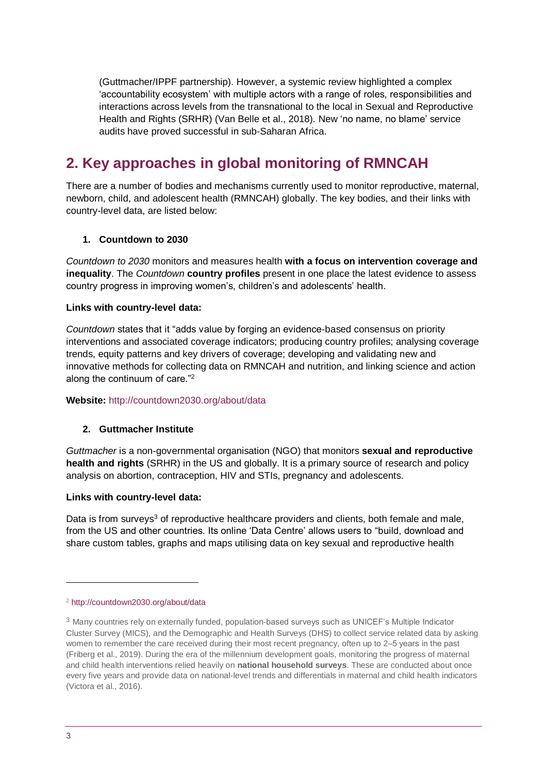(Guttmacher/IPPF partnership). However, a systemic review highlighted a complex 'accountability ecosystem' with multiple actors with a range of roles, responsibilities and interactions across levels from the transnational to the local in Sexual and Reproductive Health and Rights (SRHR) (Van Belle et al., 2018). New 'no name, no blame' service audits have proved successful in sub-Saharan Africa.

# **2. Key approaches in global monitoring of RMNCAH**

There are a number of bodies and mechanisms currently used to monitor reproductive, maternal, newborn, child, and adolescent health (RMNCAH) globally. The key bodies, and their links with country-level data, are listed below:

#### **1. Countdown to 2030**

*Countdown to 2030* monitors and measures health **with a focus on intervention coverage and inequality**. The *Countdown* **country profiles** present in one place the latest evidence to assess country progress in improving women's, children's and adolescents' health.

#### **Links with country-level data:**

*Countdown* states that it "adds value by forging an evidence-based consensus on priority interventions and associated coverage indicators; producing country profiles; analysing coverage trends, equity patterns and key drivers of coverage; developing and validating new and innovative methods for collecting data on RMNCAH and nutrition, and linking science and action along the continuum of care."<sup>2</sup>

#### **Website:** <http://countdown2030.org/about/data>

#### **2. Guttmacher Institute**

*Guttmacher* is a non-governmental organisation (NGO) that monitors **sexual and reproductive health and rights** (SRHR) in the US and globally. It is a primary source of research and policy analysis on abortion, contraception, HIV and STIs, pregnancy and adolescents.

#### **Links with country-level data:**

Data is from surveys<sup>3</sup> of reproductive healthcare providers and clients, both female and male, from the US and other countries. Its online 'Data Centre' allows users to "build, download and share custom tables, graphs and maps utilising data on key sexual and reproductive health

<sup>2</sup> <http://countdown2030.org/about/data>

<sup>3</sup> Many countries rely on externally funded, population-based surveys such as UNICEF's Multiple Indicator Cluster Survey (MICS), and the Demographic and Health Surveys (DHS) to collect service related data by asking women to remember the care received during their most recent pregnancy, often up to 2–5 years in the past (Friberg et al., 2019). During the era of the millennium development goals, monitoring the progress of maternal and child health interventions relied heavily on **national household surveys**. These are conducted about once every five years and provide data on national-level trends and differentials in maternal and child health indicators (Victora et al., 2016).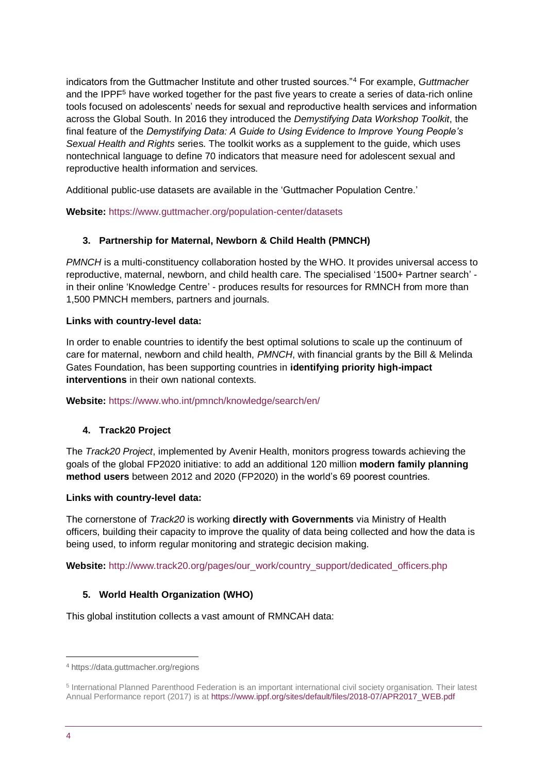indicators from the Guttmacher Institute and other trusted sources."<sup>4</sup> For example, *Guttmacher*  and the IPPF<sup>5</sup> have worked together for the past five years to create a series of data-rich online tools focused on adolescents' needs for sexual and reproductive health services and information across the Global South. In 2016 they introduced the *[Demystifying Data](https://www.guttmacher.org/report/demystifying-data-workshop-toolkit) Workshop Toolkit*, the final feature of the *[Demystifying Data: A Guide to Using Evidence to Improve Young People's](https://www.guttmacher.org/report/demystifying-data-guide-using-evidence-improve-young-peoples-sexual-health-and-rights)  [Sexual Health and Rights](https://www.guttmacher.org/report/demystifying-data-guide-using-evidence-improve-young-peoples-sexual-health-and-rights)* series. The toolkit works as a supplement to the guide, which uses nontechnical language to define 70 indicators that measure need for adolescent sexual and reproductive health information and services.

Additional public-use datasets are available in the 'Guttmacher Population Centre.'

**Website:** <https://www.guttmacher.org/population-center/datasets>

#### **3. Partnership for Maternal, Newborn & Child Health (PMNCH)**

*PMNCH* is a multi-constituency collaboration hosted by the WHO. It provides universal access to reproductive, maternal, newborn, and child health care. The specialised '1500+ Partner search' in their online 'Knowledge Centre' - produces results for resources for RMNCH from more than 1,500 PMNCH members, partners and journals.

#### **Links with country-level data:**

In order to enable countries to identify the best optimal solutions to scale up the continuum of care for maternal, newborn and child health, *PMNCH*, with financial grants by the Bill & Melinda Gates Foundation, has been supporting countries in **identifying priority high-impact interventions** in their own national contexts.

#### **Website:** <https://www.who.int/pmnch/knowledge/search/en/>

#### **4. Track20 Project**

The *Track20 Project*, implemented by Avenir Health, monitors progress towards achieving the goals of the global FP2020 initiative: to add an additional 120 million **modern family planning method users** between 2012 and 2020 (FP2020) in the world's 69 poorest countries.

#### **Links with country-level data:**

The cornerstone of *Track20* is working **directly with Governments** via Ministry of Health officers, building their capacity to improve the quality of data being collected and how the data is being used, to inform regular monitoring and strategic decision making.

**Website:** [http://www.track20.org/pages/our\\_work/country\\_support/dedicated\\_officers.php](http://www.track20.org/pages/our_work/country_support/dedicated_officers.php)

#### **5. World Health Organization (WHO)**

This global institution collects a vast amount of RMNCAH data:

<sup>4</sup> <https://data.guttmacher.org/regions>

<sup>5</sup> International Planned Parenthood Federation is an important international civil society organisation. Their latest Annual Performance report (2017) is at [https://www.ippf.org/sites/default/files/2018-07/APR2017\\_WEB.pdf](https://www.ippf.org/sites/default/files/2018-07/APR2017_WEB.pdf)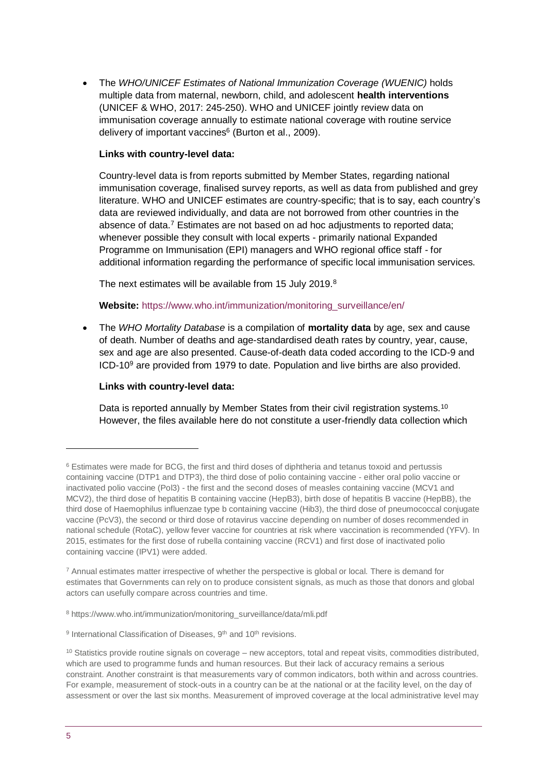• The *WHO/UNICEF Estimates of National Immunization Coverage (WUENIC)* holds multiple data from maternal, newborn, child, and adolescent **health interventions** (UNICEF & WHO, 2017: 245-250). WHO and UNICEF jointly review data on immunisation coverage annually to estimate national coverage with routine service delivery of important vaccines<sup>6</sup> (Burton et al., 2009).

#### **Links with country-level data:**

Country-level data is from reports submitted by Member States, regarding national immunisation coverage, finalised survey reports, as well as data from published and grey literature. WHO and UNICEF estimates are country-specific; that is to say, each country's data are reviewed individually, and data are not borrowed from other countries in the absence of data.<sup>7</sup> Estimates are not based on ad hoc adjustments to reported data; whenever possible they consult with local experts - primarily national Expanded Programme on Immunisation (EPI) managers and WHO regional office staff - for additional information regarding the performance of specific local immunisation services.

The next estimates will be available from 15 July 2019.<sup>8</sup>

#### **Website:** [https://www.who.int/immunization/monitoring\\_surveillance/en/](https://www.who.int/immunization/monitoring_surveillance/en/)

• The *WHO Mortality Database* is a compilation of **mortality data** by age, sex and cause of death. Number of deaths and age-standardised death rates by country, year, cause, sex and age are also presented. Cause-of-death data coded according to the ICD-9 and ICD-10<sup>9</sup> are provided from 1979 to date. Population and live births are also provided.

#### **Links with country-level data:**

Data is reported annually by Member States from their civil registration systems.<sup>10</sup> However, the files available here do not constitute a user-friendly data collection which

 $6$  Estimates were made for BCG, the first and third doses of diphtheria and tetanus toxoid and pertussis containing vaccine (DTP1 and DTP3), the third dose of polio containing vaccine - either oral polio vaccine or inactivated polio vaccine (Pol3) - the first and the second doses of measles containing vaccine (MCV1 and MCV2), the third dose of hepatitis B containing vaccine (HepB3), birth dose of hepatitis B vaccine (HepBB), the third dose of Haemophilus influenzae type b containing vaccine (Hib3), the third dose of pneumococcal conjugate vaccine (PcV3), the second or third dose of rotavirus vaccine depending on number of doses recommended in national schedule (RotaC), yellow fever vaccine for countries at risk where vaccination is recommended (YFV). In 2015, estimates for the first dose of rubella containing vaccine (RCV1) and first dose of inactivated polio containing vaccine (IPV1) were added.

<sup>7</sup> Annual estimates matter irrespective of whether the perspective is global or local. There is demand for estimates that Governments can rely on to produce consistent signals, as much as those that donors and global actors can usefully compare across countries and time.

<sup>8</sup> [https://www.who.int/immunization/monitoring\\_surveillance/data/mli.pdf](https://www.who.int/immunization/monitoring_surveillance/data/mli.pdf)

<sup>&</sup>lt;sup>9</sup> International Classification of Diseases, 9<sup>th</sup> and 10<sup>th</sup> revisions.

 $10$  Statistics provide routine signals on coverage – new acceptors, total and repeat visits, commodities distributed, which are used to programme funds and human resources. But their lack of accuracy remains a serious constraint. Another constraint is that measurements vary of common indicators, both within and across countries. For example, measurement of stock-outs in a country can be at the national or at the facility level, on the day of assessment or over the last six months. Measurement of improved coverage at the local administrative level may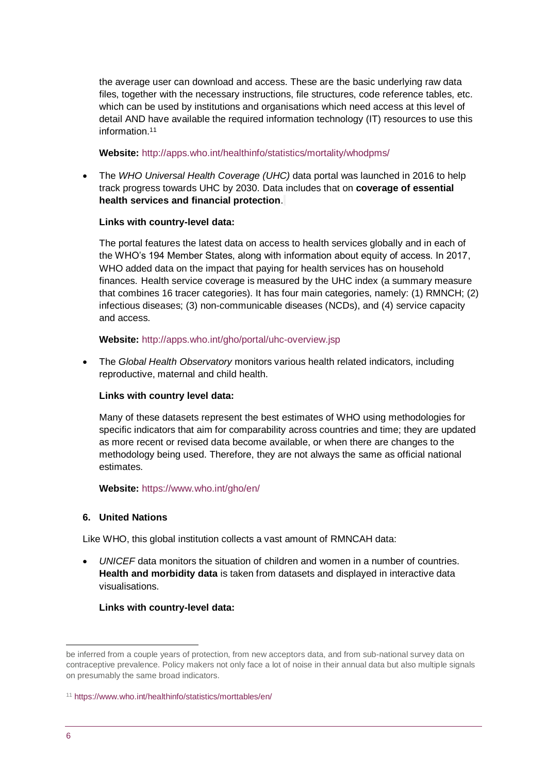the average user can download and access. These are the basic underlying raw data files, together with the necessary instructions, file structures, code reference tables, etc. which can be used by institutions and organisations which need access at this level of detail AND have available the required information technology (IT) resources to use this information.<sup>11</sup>

#### **Website:** <http://apps.who.int/healthinfo/statistics/mortality/whodpms/>

• The *WHO Universal Health [Coverage](http://apps.who.int/gho/cabinet/uhc.jsp) (UHC)* data portal was launched in 2016 to help track progress towards UHC by 2030. Data includes that on **[coverage of essential](http://apps.who.int/gho/portal/uhc-service-coverage-v3.jsp)  [health services](http://apps.who.int/gho/portal/uhc-service-coverage-v3.jsp) and [financial protection](http://apps.who.int/gho/portal/uhc-financial-protection-v3.jsp)**.

#### **Links with country-level data:**

The portal features the latest data on access to health services globally and in each of the WHO's 194 Member States, along with information about equity of access. In 2017, WHO added data on the impact that paying for health services has on household finances. Health service coverage is measured by the UHC index (a summary measure that combines 16 tracer categories). It has four main categories, namely: (1) RMNCH; (2) infectious diseases; (3) non-communicable diseases (NCDs), and (4) service capacity and access.

#### **Website:** <http://apps.who.int/gho/portal/uhc-overview.jsp>

• The *Global Health Observatory* monitors various health related indicators, including reproductive, maternal and child health.

#### **Links with country level data:**

Many of these datasets represent the best estimates of WHO using methodologies for specific indicators that aim for comparability across countries and time; they are updated as more recent or revised data become available, or when there are changes to the methodology being used. Therefore, they are not always the same as official national estimates.

**Website:** <https://www.who.int/gho/en/>

#### **6. United Nations**

Like WHO, this global institution collects a vast amount of RMNCAH data:

• *UNICEF* data monitors the situation of children and women in a number of countries. **Health and morbidity data** is taken from datasets and displayed in interactive data visualisations.

#### **Links with country-level data:**

<sup>1</sup> be inferred from a couple years of protection, from new acceptors data, and from sub-national survey data on contraceptive prevalence. Policy makers not only face a lot of noise in their annual data but also multiple signals on presumably the same broad indicators.

<sup>11</sup> <https://www.who.int/healthinfo/statistics/morttables/en/>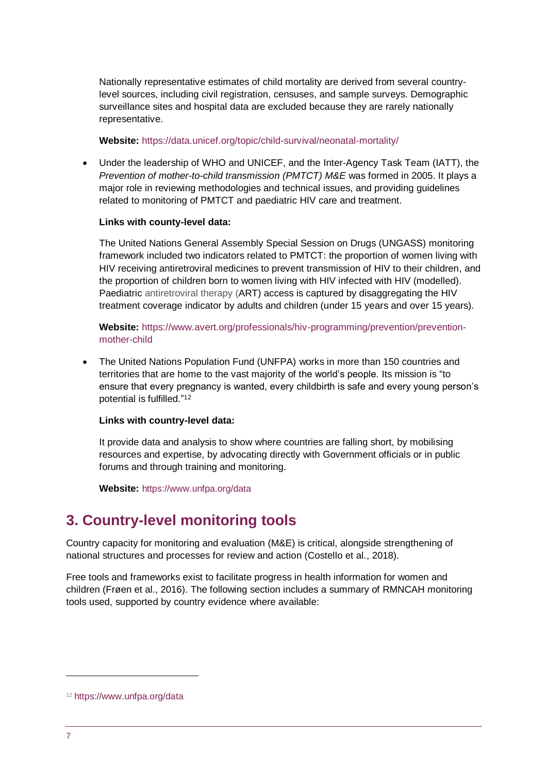Nationally representative estimates of child mortality are derived from several countrylevel sources, including civil registration, censuses, and sample surveys. Demographic surveillance sites and hospital data are excluded because they are rarely nationally representative.

#### **Website:** <https://data.unicef.org/topic/child-survival/neonatal-mortality/>

• Under the leadership of WHO and UNICEF, and the Inter-Agency Task Team (IATT), the *Prevention of mother-to-child transmission (PMTCT) M&E* was formed in 2005. It plays a major role in reviewing methodologies and technical issues, and providing guidelines related to monitoring of PMTCT and paediatric HIV care and treatment.

#### **Links with county-level data:**

The United Nations General Assembly Special Session on Drugs (UNGASS) monitoring framework included two indicators related to PMTCT: the proportion of women living with HIV receiving antiretroviral medicines to prevent transmission of HIV to their children, and the proportion of children born to women living with HIV infected with HIV (modelled). Paediatric antiretroviral therapy (ART) access is captured by disaggregating the HIV treatment coverage indicator by adults and children (under 15 years and over 15 years).

#### **Website:** [https://www.avert.org/professionals/hiv-programming/prevention/prevention](https://www.avert.org/professionals/hiv-programming/prevention/prevention-mother-child)[mother-child](https://www.avert.org/professionals/hiv-programming/prevention/prevention-mother-child)

• The United Nations Population Fund (UNFPA) works in more than 150 countries and territories that are home to the vast majority of the world's people. Its mission is "to ensure that every pregnancy is wanted, every childbirth is safe and every young person's potential is fulfilled." 12

#### **Links with country-level data:**

It provide data and analysis to show where countries are falling short, by mobilising resources and expertise, by advocating directly with Government officials or in public forums and through training and monitoring.

Website: <https://www.unfpa.org/data>

# **3. Country-level monitoring tools**

Country capacity for monitoring and evaluation (M&E) is critical, alongside strengthening of national structures and processes for review and action (Costello et al., 2018).

Free tools and frameworks exist to facilitate progress in health information for women and children (Frøen et al., 2016). The following section includes a summary of RMNCAH monitoring tools used, supported by country evidence where available:

<sup>12</sup> <https://www.unfpa.org/data>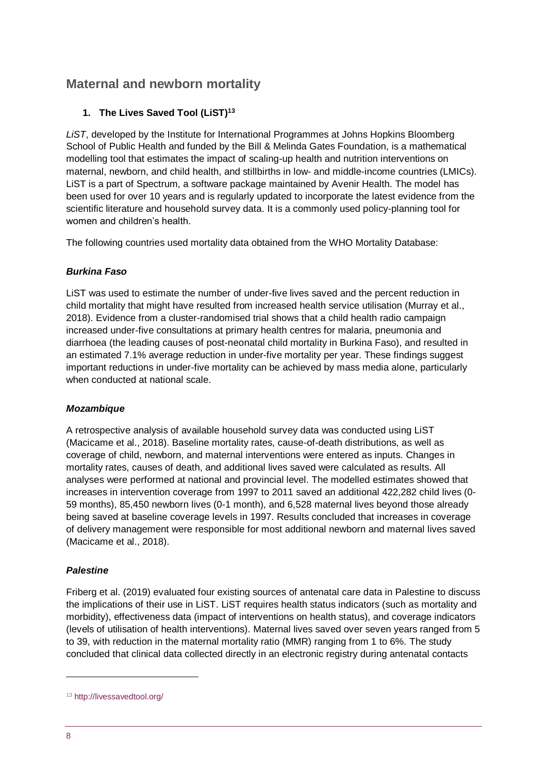# **Maternal and newborn mortality**

#### **1. The Lives Saved Tool (LiST)<sup>13</sup>**

*LiST*, developed by the Institute for International Programmes at Johns Hopkins Bloomberg School of Public Health and funded by the Bill & Melinda Gates Foundation, is a mathematical modelling tool that estimates the impact of scaling-up health and nutrition interventions on maternal, newborn, and child health, and stillbirths in low- and middle-income countries (LMICs). LiST is a part of Spectrum, a software package maintained by Avenir Health. The model has been used for over 10 years and is regularly updated to incorporate the latest evidence from the scientific literature and household survey data. It is a commonly used policy-planning tool for women and children's health.

The following countries used mortality data obtained from the WHO Mortality Database:

#### *Burkina Faso*

LiST was used to estimate the number of under-five lives saved and the percent reduction in child mortality that might have resulted from increased health service utilisation (Murray et al., 2018). Evidence from a cluster-randomised trial shows that a child health radio campaign increased under-five consultations at primary health centres for malaria, pneumonia and diarrhoea (the leading causes of post-neonatal child mortality in Burkina Faso), and resulted in an estimated 7.1% average reduction in under-five mortality per year. These findings suggest important reductions in under-five mortality can be achieved by mass media alone, particularly when conducted at national scale.

#### *Mozambique*

A retrospective analysis of available household survey data was conducted using LiST (Macicame et al., 2018). Baseline mortality rates, cause-of-death distributions, as well as coverage of child, newborn, and maternal interventions were entered as inputs. Changes in mortality rates, causes of death, and additional lives saved were calculated as results. All analyses were performed at national and provincial level. The modelled estimates showed that increases in intervention coverage from 1997 to 2011 saved an additional 422,282 child lives (0- 59 months), 85,450 newborn lives (0-1 month), and 6,528 maternal lives beyond those already being saved at baseline coverage levels in 1997. Results concluded that increases in coverage of delivery management were responsible for most additional newborn and maternal lives saved (Macicame et al., 2018).

#### *Palestine*

Friberg et al. (2019) evaluated four existing sources of antenatal care data in Palestine to discuss the implications of their use in LiST. LiST requires health status indicators (such as mortality and morbidity), effectiveness data (impact of interventions on health status), and coverage indicators (levels of utilisation of health interventions). Maternal lives saved over seven years ranged from 5 to 39, with reduction in the maternal mortality ratio (MMR) ranging from 1 to 6%. The study concluded that clinical data collected directly in an electronic registry during antenatal contacts

<sup>13</sup> <http://livessavedtool.org/>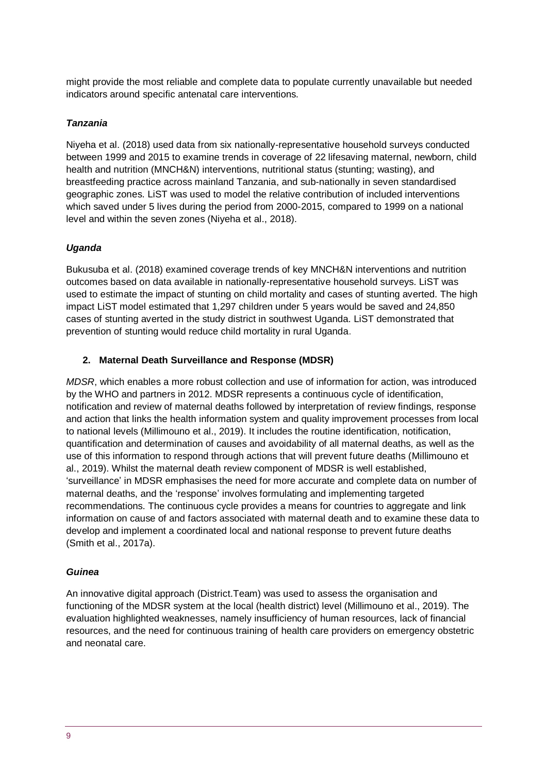might provide the most reliable and complete data to populate currently unavailable but needed indicators around specific antenatal care interventions.

#### *Tanzania*

Niyeha et al. (2018) used data from six nationally-representative household surveys conducted between 1999 and 2015 to examine trends in coverage of 22 lifesaving maternal, newborn, child health and nutrition (MNCH&N) interventions, nutritional status (stunting; wasting), and breastfeeding practice across mainland Tanzania, and sub-nationally in seven standardised geographic zones. LiST was used to model the relative contribution of included interventions which saved under 5 lives during the period from 2000-2015, compared to 1999 on a national level and within the seven zones (Niyeha et al., 2018).

#### *Uganda*

Bukusuba et al. (2018) examined coverage trends of key MNCH&N interventions and nutrition outcomes based on data available in nationally-representative household surveys. LiST was used to estimate the impact of stunting on child mortality and cases of stunting averted. The high impact LiST model estimated that 1,297 children under 5 years would be saved and 24,850 cases of stunting averted in the study district in southwest Uganda. LiST demonstrated that prevention of stunting would reduce child mortality in rural Uganda.

#### **2. Maternal Death Surveillance and Response (MDSR)**

*MDSR*, which enables a more robust collection and use of information for action, was introduced by the WHO and partners in 2012. MDSR represents a continuous cycle of identification, notification and review of maternal deaths followed by interpretation of review findings, response and action that links the health information system and quality improvement processes from local to national levels (Millimouno et al., 2019). It includes the routine identification, notification, quantification and determination of causes and avoidability of all maternal deaths, as well as the use of this information to respond through actions that will prevent future deaths (Millimouno et al., 2019). Whilst the maternal death review component of MDSR is well established, 'surveillance' in MDSR emphasises the need for more accurate and complete data on number of maternal deaths, and the 'response' involves formulating and implementing targeted recommendations. The continuous cycle provides a means for countries to aggregate and link information on cause of and factors associated with maternal death and to examine these data to develop and implement a coordinated local and national response to prevent future deaths (Smith et al., 2017a).

#### *Guinea*

An innovative digital approach (District.Team) was used to assess the organisation and functioning of the MDSR system at the local (health district) level (Millimouno et al., 2019). The evaluation highlighted weaknesses, namely insufficiency of human resources, lack of financial resources, and the need for continuous training of health care providers on emergency obstetric and neonatal care.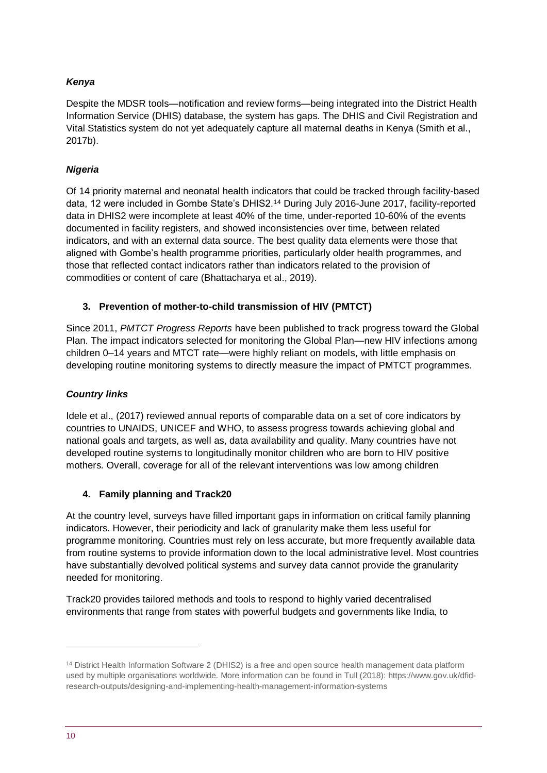#### *Kenya*

Despite the MDSR tools—notification and review forms—being integrated into the District Health Information Service (DHIS) database, the system has gaps. The DHIS and Civil Registration and Vital Statistics system do not yet adequately capture all maternal deaths in Kenya (Smith et al., 2017b).

#### *Nigeria*

Of 14 priority maternal and neonatal health indicators that could be tracked through facility-based data, 12 were included in Gombe State's DHIS2.<sup>14</sup> During July 2016-June 2017, facility-reported data in DHIS2 were incomplete at least 40% of the time, under-reported 10-60% of the events documented in facility registers, and showed inconsistencies over time, between related indicators, and with an external data source. The best quality data elements were those that aligned with Gombe's health programme priorities, particularly older health programmes, and those that reflected contact indicators rather than indicators related to the provision of commodities or content of care (Bhattacharya et al., 2019).

#### **3. Prevention of mother-to-child transmission of HIV (PMTCT)**

Since 2011, *PMTCT Progress Reports* have been published to track progress toward the Global Plan. The impact indicators selected for monitoring the Global Plan—new HIV infections among children 0–14 years and MTCT rate—were highly reliant on models, with little emphasis on developing routine monitoring systems to directly measure the impact of PMTCT programmes.

#### *Country links*

Idele et al., (2017) reviewed annual reports of comparable data on a set of core indicators by countries to UNAIDS, UNICEF and WHO, to assess progress towards achieving global and national goals and targets, as well as, data availability and quality. Many countries have not developed routine systems to longitudinally monitor children who are born to HIV positive mothers. Overall, coverage for all of the relevant interventions was low among children

#### **4. Family planning and Track20**

At the country level, surveys have filled important gaps in information on critical family planning indicators. However, their periodicity and lack of granularity make them less useful for programme monitoring. Countries must rely on less accurate, but more frequently available data from routine systems to provide information down to the local administrative level. Most countries have substantially devolved political systems and survey data cannot provide the granularity needed for monitoring.

Track20 provides tailored methods and tools to respond to highly varied decentralised environments that range from states with powerful budgets and governments like India, to

<sup>&</sup>lt;sup>14</sup> District Health Information Software 2 (DHIS2) is a free and open source health management data platform used by multiple organisations worldwide. More information can be found in Tull (2018)[: https://www.gov.uk/dfid](https://www.gov.uk/dfid-research-outputs/designing-and-implementing-health-management-information-systems)[research-outputs/designing-and-implementing-health-management-information-systems](https://www.gov.uk/dfid-research-outputs/designing-and-implementing-health-management-information-systems)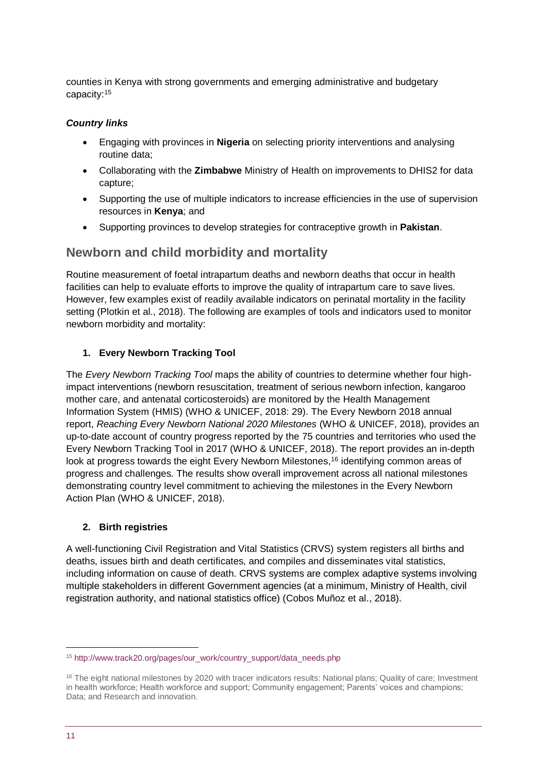counties in Kenya with strong governments and emerging administrative and budgetary capacity: 15

#### *Country links*

- Engaging with provinces in **Nigeria** on selecting priority interventions and analysing routine data;
- Collaborating with the **Zimbabwe** Ministry of Health on improvements to DHIS2 for data capture;
- Supporting the use of multiple indicators to increase efficiencies in the use of supervision resources in **Kenya**; and
- Supporting provinces to develop strategies for contraceptive growth in **Pakistan**.

### **Newborn and child morbidity and mortality**

Routine measurement of foetal intrapartum deaths and newborn deaths that occur in health facilities can help to evaluate efforts to improve the quality of intrapartum care to save lives. However, few examples exist of readily available indicators on perinatal mortality in the facility setting (Plotkin et al., 2018). The following are examples of tools and indicators used to monitor newborn morbidity and mortality:

#### **1. Every Newborn Tracking Tool**

The *Every Newborn Tracking Tool* maps the ability of countries to determine whether four highimpact interventions (newborn resuscitation, treatment of serious newborn infection, kangaroo mother care, and antenatal corticosteroids) are monitored by the Health Management Information System (HMIS) (WHO & UNICEF, 2018: 29). The Every Newborn 2018 annual report, *Reaching Every Newborn National 2020 Milestones* (WHO & UNICEF, 2018)*,* provides an up-to-date account of country progress reported by the 75 countries and territories who used the Every Newborn Tracking Tool in 2017 (WHO & UNICEF, 2018). The report provides an in-depth look at progress towards the eight Every Newborn Milestones,<sup>16</sup> identifying common areas of progress and challenges. The results show overall improvement across all national milestones demonstrating country level commitment to achieving the milestones in the Every Newborn Action Plan (WHO & UNICEF, 2018).

#### **2. Birth registries**

A well-functioning Civil Registration and Vital Statistics (CRVS) system registers all births and deaths, issues birth and death certificates, and compiles and disseminates vital statistics, including information on cause of death. CRVS systems are complex adaptive systems involving multiple stakeholders in different Government agencies (at a minimum, Ministry of Health, civil registration authority, and national statistics office) (Cobos Muñoz et al., 2018).

<sup>15</sup> [http://www.track20.org/pages/our\\_work/country\\_support/data\\_needs.php](http://www.track20.org/pages/our_work/country_support/data_needs.php)

<sup>&</sup>lt;sup>16</sup> The eight national milestones by 2020 with tracer indicators results: National plans; Quality of care; Investment in health workforce; Health workforce and support; Community engagement; Parents' voices and champions; Data; and Research and innovation.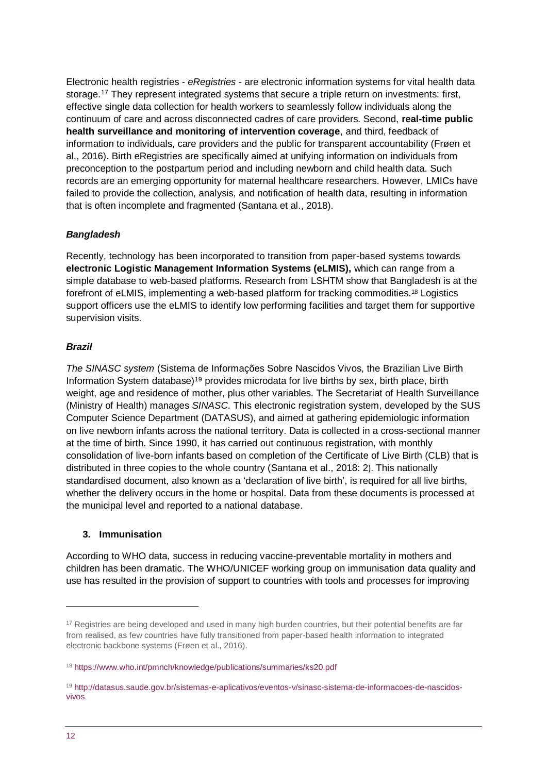Electronic health registries - *eRegistries* - are electronic information systems for vital health data storage.<sup>17</sup> They represent integrated systems that secure a triple return on investments: first, effective single data collection for health workers to seamlessly follow individuals along the continuum of care and across disconnected cadres of care providers. Second, **real-time public health surveillance and monitoring of intervention coverage**, and third, feedback of information to individuals, care providers and the public for transparent accountability (Frøen et al., 2016). Birth eRegistries are specifically aimed at unifying information on individuals from preconception to the postpartum period and including newborn and child health data. Such records are an emerging opportunity for maternal healthcare researchers. However, LMICs have failed to provide the collection, analysis, and notification of health data, resulting in information that is often incomplete and fragmented (Santana et al., 2018).

#### *Bangladesh*

Recently, technology has been incorporated to transition from paper-based systems towards **electronic Logistic Management Information Systems (eLMIS),** which can range from a simple database to web-based platforms. Research from LSHTM show that Bangladesh is at the forefront of eLMIS, implementing a web-based platform for tracking commodities.<sup>18</sup> Logistics support officers use the eLMIS to identify low performing facilities and target them for supportive supervision visits.

#### *Brazil*

*The SINASC system* (Sistema de Informações Sobre Nascidos Vivos, the Brazilian Live Birth Information System database)<sup>19</sup> provides microdata for live births by sex, birth place, birth weight, age and residence of mother, plus other variables. The Secretariat of Health Surveillance (Ministry of Health) manages *SINASC*. This electronic registration system, developed by the SUS Computer Science Department (DATASUS), and aimed at gathering epidemiologic information on live newborn infants across the national territory. Data is collected in a cross-sectional manner at the time of birth. Since 1990, it has carried out continuous registration, with monthly consolidation of live-born infants based on completion of the Certificate of Live Birth (CLB) that is distributed in three copies to the whole country (Santana et al., 2018: 2). This nationally standardised document, also known as a 'declaration of live birth', is required for all live births, whether the delivery occurs in the home or hospital. Data from these documents is processed at the municipal level and reported to a national database.

#### **3. Immunisation**

According to WHO data, success in reducing vaccine-preventable mortality in mothers and children has been dramatic. The WHO/UNICEF working group on immunisation data quality and use has resulted in the provision of support to countries with tools and processes for improving

<sup>&</sup>lt;sup>17</sup> Registries are being developed and used in many high burden countries, but their potential benefits are far from realised, as few countries have fully transitioned from paper-based health information to integrated electronic backbone systems (Frøen et al., 2016).

<sup>18</sup> <https://www.who.int/pmnch/knowledge/publications/summaries/ks20.pdf>

<sup>19</sup> [http://datasus.saude.gov.br/sistemas-e-aplicativos/eventos-v/sinasc-sistema-de-informacoes-de-nascidos](http://datasus.saude.gov.br/sistemas-e-aplicativos/eventos-v/sinasc-sistema-de-informacoes-de-nascidos-vivos)[vivos](http://datasus.saude.gov.br/sistemas-e-aplicativos/eventos-v/sinasc-sistema-de-informacoes-de-nascidos-vivos)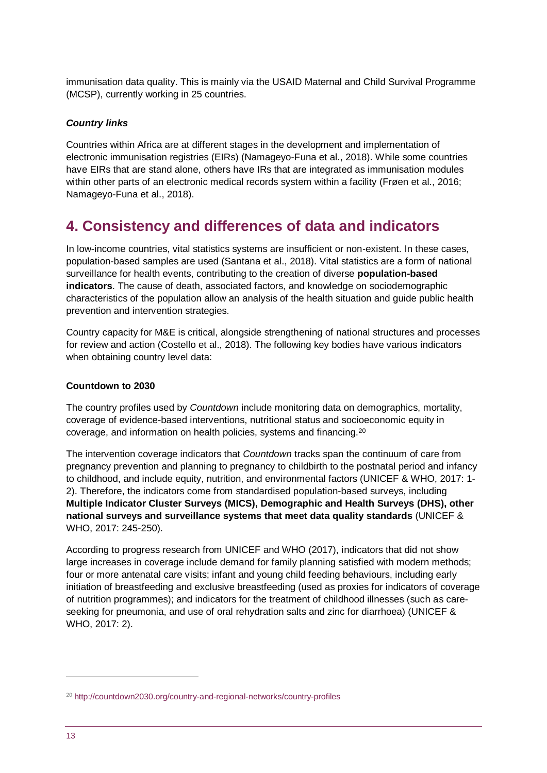immunisation data quality. This is mainly via the USAID Maternal and Child Survival Programme (MCSP), currently working in 25 countries.

#### *Country links*

Countries within Africa are at different stages in the development and implementation of electronic immunisation registries (EIRs) (Namageyo-Funa et al., 2018). While some countries have EIRs that are stand alone, others have IRs that are integrated as immunisation modules within other parts of an electronic medical records system within a facility (Frøen et al., 2016; Namageyo-Funa et al., 2018).

# **4. Consistency and differences of data and indicators**

In low-income countries, vital statistics systems are insufficient or non-existent. In these cases, population-based samples are used (Santana et al., 2018). Vital statistics are a form of national surveillance for health events, contributing to the creation of diverse **population-based indicators**. The cause of death, associated factors, and knowledge on sociodemographic characteristics of the population allow an analysis of the health situation and guide public health prevention and intervention strategies.

Country capacity for M&E is critical, alongside strengthening of national structures and processes for review and action (Costello et al., 2018). The following key bodies have various indicators when obtaining country level data:

#### **Countdown to 2030**

The country profiles used by *Countdown* include monitoring data on demographics, mortality, coverage of evidence-based interventions, nutritional status and socioeconomic equity in coverage, and information on health policies, systems and financing.<sup>20</sup>

The intervention coverage indicators that *Countdown* tracks span the continuum of care from pregnancy prevention and planning to pregnancy to childbirth to the postnatal period and infancy to childhood, and include equity, nutrition, and environmental factors (UNICEF & WHO, 2017: 1- 2). Therefore, the indicators come from standardised population-based surveys, including **Multiple Indicator Cluster Surveys (MICS), Demographic and Health Surveys (DHS), other national surveys and surveillance systems that meet data quality standards** (UNICEF & WHO, 2017: 245-250).

According to progress research from UNICEF and WHO (2017), indicators that did not show large increases in coverage include demand for family planning satisfied with modern methods; four or more antenatal care visits; infant and young child feeding behaviours, including early initiation of breastfeeding and exclusive breastfeeding (used as proxies for indicators of coverage of nutrition programmes); and indicators for the treatment of childhood illnesses (such as careseeking for pneumonia, and use of oral rehydration salts and zinc for diarrhoea) (UNICEF & WHO, 2017: 2).

<sup>20</sup> <http://countdown2030.org/country-and-regional-networks/country-profiles>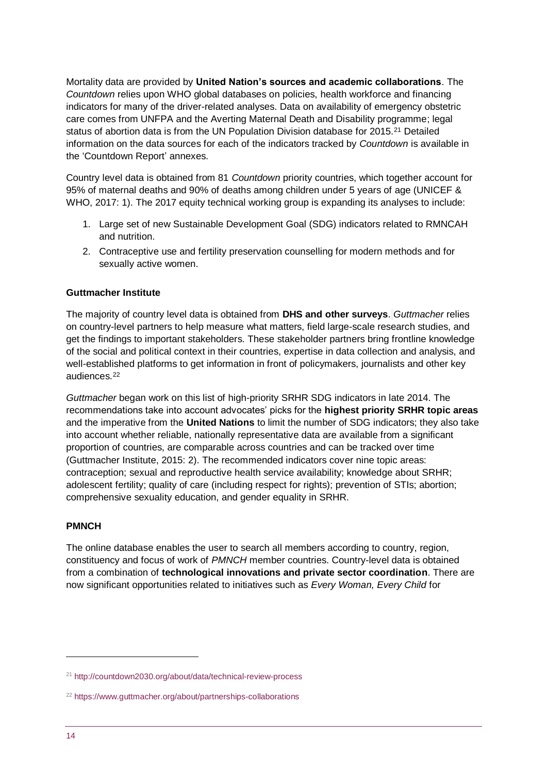Mortality data are provided by **United Nation's sources and academic collaborations**. The *Countdown* relies upon WHO global databases on policies, health workforce and financing indicators for many of the driver-related analyses. Data on availability of emergency obstetric care comes from UNFPA and the Averting Maternal Death and Disability programme; legal status of abortion data is from the UN Population Division database for 2015.<sup>21</sup> Detailed information on the data sources for each of the indicators tracked by *Countdown* is available in the 'Countdown Report' annexes.

Country level data is obtained from 81 *Countdown* priority countries, which together account for 95% of maternal deaths and 90% of deaths among children under 5 years of age (UNICEF & WHO, 2017: 1). The 2017 equity technical working group is expanding its analyses to include:

- 1. Large set of new Sustainable Development Goal (SDG) indicators related to RMNCAH and nutrition.
- 2. Contraceptive use and fertility preservation counselling for modern methods and for sexually active women.

#### **Guttmacher Institute**

The majority of country level data is obtained from **DHS and other surveys**. *Guttmacher* relies on country-level partners to help measure what matters, field large-scale research studies, and get the findings to important stakeholders. These stakeholder partners bring frontline knowledge of the social and political context in their countries, expertise in data collection and analysis, and well-established platforms to get information in front of policymakers, journalists and other key audiences.<sup>22</sup>

*Guttmacher* began work on this list of high-priority SRHR SDG indicators in late 2014. The recommendations take into account advocates' picks for the **highest priority SRHR topic areas** and the imperative from the **United Nations** to limit the number of SDG indicators; they also take into account whether reliable, nationally representative data are available from a significant proportion of countries, are comparable across countries and can be tracked over time (Guttmacher Institute, 2015: 2). The recommended indicators cover nine topic areas: contraception; sexual and reproductive health service availability; knowledge about SRHR; adolescent fertility; quality of care (including respect for rights); prevention of STIs; abortion; comprehensive sexuality education, and gender equality in SRHR.

#### **PMNCH**

The online database enables the user to search all members according to country, region, constituency and focus of work of *PMNCH* member countries. Country-level data is obtained from a combination of **technological innovations and private sector coordination**. There are now significant opportunities related to initiatives such as *Every Woman, Every Child* for

<sup>21</sup> <http://countdown2030.org/about/data/technical-review-process>

<sup>22</sup> <https://www.guttmacher.org/about/partnerships-collaborations>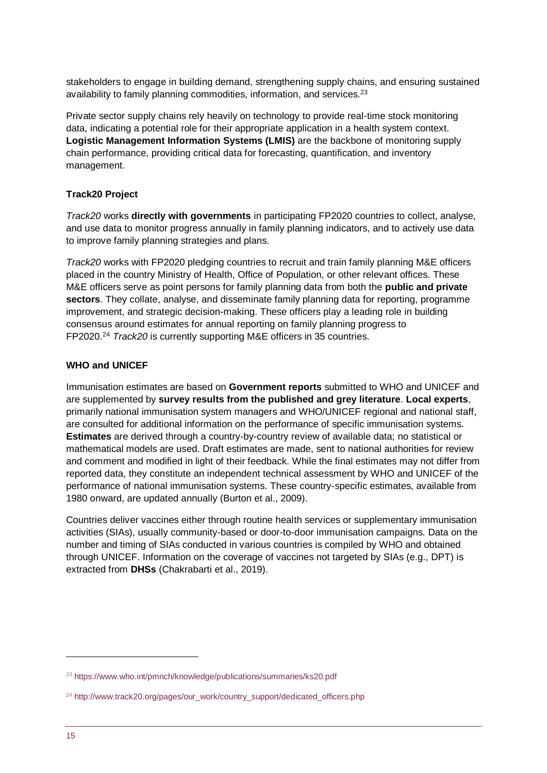stakeholders to engage in building demand, strengthening supply chains, and ensuring sustained availability to family planning commodities, information, and services.<sup>23</sup>

Private sector supply chains rely heavily on technology to provide real-time stock monitoring data, indicating a potential role for their appropriate application in a health system context. **Logistic Management Information Systems (LMIS)** are the backbone of monitoring supply chain performance, providing critical data for forecasting, quantification, and inventory management.

#### **Track20 Project**

*Track20* works **directly with governments** in participating FP2020 countries to collect, analyse, and use data to monitor progress annually in family planning indicators, and to actively use data to improve family planning strategies and plans.

*Track20* works with FP2020 pledging countries to recruit and train family planning M&E officers placed in the country Ministry of Health, Office of Population, or other relevant offices. These M&E officers serve as point persons for family planning data from both the **public and private sectors**. They collate, analyse, and disseminate family planning data for reporting, programme improvement, and strategic decision-making. These officers play a leading role in building consensus around estimates for annual reporting on family planning progress to FP2020.<sup>24</sup> *Track20* is currently supporting M&E officers in 35 countries.

#### **WHO and UNICEF**

Immunisation estimates are based on **Government reports** submitted to WHO and UNICEF and are supplemented by **survey results from the published and grey literature**. **Local experts**, primarily national immunisation system managers and WHO/UNICEF regional and national staff, are consulted for additional information on the performance of specific immunisation systems. **Estimates** are derived through a country-by-country review of available data; no statistical or mathematical models are used. Draft estimates are made, sent to national authorities for review and comment and modified in light of their feedback. While the final estimates may not differ from reported data, they constitute an independent technical assessment by WHO and UNICEF of the performance of national immunisation systems. These country-specific estimates, available from 1980 onward, are updated annually (Burton et al., 2009).

Countries deliver vaccines either through routine health services or supplementary immunisation activities (SIAs), usually community-based or door-to-door immunisation campaigns. Data on the number and timing of SIAs conducted in various countries is compiled by WHO and obtained through UNICEF. Information on the coverage of vaccines not targeted by SIAs (e.g., DPT) is extracted from **DHSs** (Chakrabarti et al., 2019).

<sup>23</sup> <https://www.who.int/pmnch/knowledge/publications/summaries/ks20.pdf>

<sup>&</sup>lt;sup>24</sup> [http://www.track20.org/pages/our\\_work/country\\_support/dedicated\\_officers.php](http://www.track20.org/pages/our_work/country_support/dedicated_officers.php)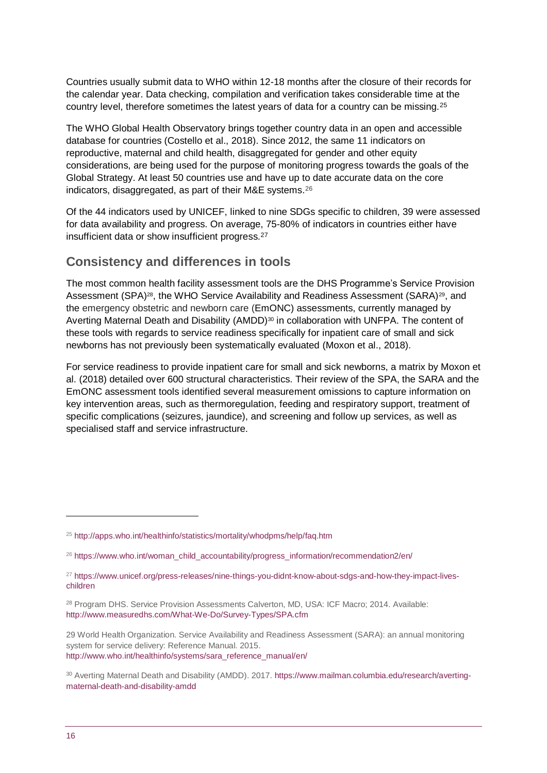Countries usually submit data to WHO within 12-18 months after the closure of their records for the calendar year. Data checking, compilation and verification takes considerable time at the country level, therefore sometimes the latest years of data for a country can be missing.<sup>25</sup>

The WHO Global Health Observatory brings together country data in an open and accessible database for countries (Costello et al., 2018). Since 2012, the same 11 indicators on reproductive, maternal and child health, disaggregated for gender and other equity considerations, are being used for the purpose of monitoring progress towards the goals of the Global Strategy. At least 50 countries use and have up to date accurate data on the core indicators, disaggregated, as part of their M&E systems. 26

Of the 44 indicators used by UNICEF, linked to nine SDGs specific to children, 39 were assessed for data availability and progress. On average, 75-80% of indicators in countries either have insufficient data or show insufficient progress.<sup>27</sup>

## **Consistency and differences in tools**

The most common health facility assessment tools are the DHS Programme's Service Provision Assessment (SPA)<sup>28</sup>, the WHO Service Availability and Readiness Assessment (SARA)<sup>29</sup>, and the emergency obstetric and newborn care (EmONC) assessments, currently managed by Averting Maternal Death and Disability (AMDD) $30$  in collaboration with UNFPA. The content of these tools with regards to service readiness specifically for inpatient care of small and sick newborns has not previously been systematically evaluated (Moxon et al., 2018).

For service readiness to provide inpatient care for small and sick newborns, a matrix by Moxon et al. (2018) detailed over 600 structural characteristics. Their review of the SPA, the SARA and the EmONC assessment tools identified several measurement omissions to capture information on key intervention areas, such as thermoregulation, feeding and respiratory support, treatment of specific complications (seizures, jaundice), and screening and follow up services, as well as specialised staff and service infrastructure.

<sup>25</sup> <http://apps.who.int/healthinfo/statistics/mortality/whodpms/help/faq.htm>

<sup>26</sup> [https://www.who.int/woman\\_child\\_accountability/progress\\_information/recommendation2/en/](https://www.who.int/woman_child_accountability/progress_information/recommendation2/en/)

<sup>&</sup>lt;sup>27</sup> [https://www.unicef.org/press-releases/nine-things-you-didnt-know-about-sdgs-and-how-they-impact-lives](https://www.unicef.org/press-releases/nine-things-you-didnt-know-about-sdgs-and-how-they-impact-lives-children)[children](https://www.unicef.org/press-releases/nine-things-you-didnt-know-about-sdgs-and-how-they-impact-lives-children)

<sup>&</sup>lt;sup>28</sup> Program DHS. Service Provision Assessments Calverton, MD, USA: ICF Macro; 2014. Available: <http://www.measuredhs.com/What-We-Do/Survey-Types/SPA.cfm>

<sup>29</sup> World Health Organization. Service Availability and Readiness Assessment (SARA): an annual monitoring system for service delivery: Reference Manual. 2015. [http://www.who.int/healthinfo/systems/sara\\_reference\\_manual/en/](http://www.who.int/healthinfo/systems/sara_reference_manual/en/)

<sup>30</sup> Averting Maternal Death and Disability (AMDD). 2017. [https://www.mailman.columbia.edu/research/averting](https://www.mailman.columbia.edu/research/averting-maternal-death-and-disability-amdd)[maternal-death-and-disability-amdd](https://www.mailman.columbia.edu/research/averting-maternal-death-and-disability-amdd)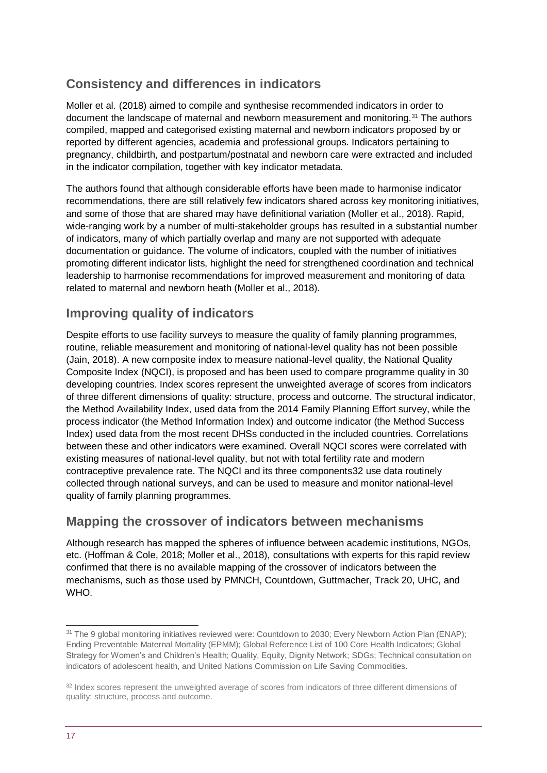# **Consistency and differences in indicators**

Moller et al. (2018) aimed to compile and synthesise recommended indicators in order to document the landscape of maternal and newborn measurement and monitoring.<sup>31</sup> The authors compiled, mapped and categorised existing maternal and newborn indicators proposed by or reported by different agencies, academia and professional groups. Indicators pertaining to pregnancy, childbirth, and postpartum/postnatal and newborn care were extracted and included in the indicator compilation, together with key indicator metadata.

The authors found that although considerable efforts have been made to harmonise indicator recommendations, there are still relatively few indicators shared across key monitoring initiatives, and some of those that are shared may have definitional variation (Moller et al., 2018). Rapid, wide-ranging work by a number of multi-stakeholder groups has resulted in a substantial number of indicators, many of which partially overlap and many are not supported with adequate documentation or guidance. The volume of indicators, coupled with the number of initiatives promoting different indicator lists, highlight the need for strengthened coordination and technical leadership to harmonise recommendations for improved measurement and monitoring of data related to maternal and newborn heath (Moller et al., 2018).

# **Improving quality of indicators**

Despite efforts to use facility surveys to measure the quality of family planning programmes, routine, reliable measurement and monitoring of national-level quality has not been possible (Jain, 2018). A new composite index to measure national-level quality, the National Quality Composite Index (NQCI), is proposed and has been used to compare programme quality in 30 developing countries. Index scores represent the unweighted average of scores from indicators of three different dimensions of quality: structure, process and outcome. The structural indicator, the Method Availability Index, used data from the 2014 Family Planning Effort survey, while the process indicator (the Method Information Index) and outcome indicator (the Method Success Index) used data from the most recent DHSs conducted in the included countries. Correlations between these and other indicators were examined. Overall NQCI scores were correlated with existing measures of national-level quality, but not with total fertility rate and modern contraceptive prevalence rate. The NQCI and its three components32 use data routinely collected through national surveys, and can be used to measure and monitor national-level quality of family planning programmes.

## **Mapping the crossover of indicators between mechanisms**

Although research has mapped the spheres of influence between academic institutions, NGOs, etc. (Hoffman & Cole, 2018; Moller et al., 2018), consultations with experts for this rapid review confirmed that there is no available mapping of the crossover of indicators between the mechanisms, such as those used by PMNCH, Countdown, Guttmacher, Track 20, UHC, and WHO.

<sup>&</sup>lt;sup>31</sup> The 9 global monitoring initiatives reviewed were: Countdown to 2030; Every Newborn Action Plan (ENAP); Ending Preventable Maternal Mortality (EPMM); Global Reference List of 100 Core Health Indicators; Global Strategy for Women's and Children's Health; Quality, Equity, Dignity Network; SDGs; Technical consultation on indicators of adolescent health, and United Nations Commission on Life Saving Commodities.

<sup>&</sup>lt;sup>32</sup> Index scores represent the unweighted average of scores from indicators of three different dimensions of quality: structure, process and outcome.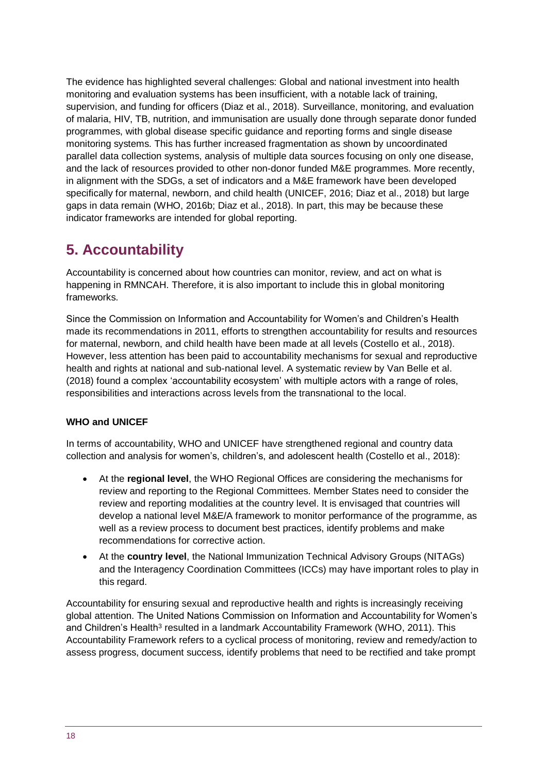The evidence has highlighted several challenges: Global and national investment into health monitoring and evaluation systems has been insufficient, with a notable lack of training, supervision, and funding for officers (Diaz et al., 2018). Surveillance, monitoring, and evaluation of malaria, HIV, TB, nutrition, and immunisation are usually done through separate donor funded programmes, with global disease specific guidance and reporting forms and single disease monitoring systems. This has further increased fragmentation as shown by uncoordinated parallel data collection systems, analysis of multiple data sources focusing on only one disease, and the lack of resources provided to other non-donor funded M&E programmes. More recently, in alignment with the SDGs, a set of indicators and a M&E framework have been developed specifically for maternal, newborn, and child health (UNICEF, 2016; Diaz et al., 2018) but large gaps in data remain (WHO, 2016b; Diaz et al., 2018). In part, this may be because these indicator frameworks are intended for global reporting.

# **5. Accountability**

Accountability is concerned about how countries can monitor, review, and act on what is happening in RMNCAH. Therefore, it is also important to include this in global monitoring frameworks.

Since the Commission on Information and Accountability for Women's and Children's Health made its recommendations in 2011, efforts to strengthen accountability for results and resources for maternal, newborn, and child health have been made at all levels (Costello et al., 2018). However, less attention has been paid to accountability mechanisms for sexual and reproductive health and rights at national and sub-national level. A systematic review by Van Belle et al. (2018) found a complex 'accountability ecosystem' with multiple actors with a range of roles, responsibilities and interactions across levels from the transnational to the local.

#### **WHO and UNICEF**

In terms of accountability, WHO and UNICEF have strengthened regional and country data collection and analysis for women's, children's, and adolescent health (Costello et al., 2018):

- At the **regional level**, the WHO Regional Offices are considering the mechanisms for review and reporting to the Regional Committees. Member States need to consider the review and reporting modalities at the country level. It is envisaged that countries will develop a national level M&E/A framework to monitor performance of the programme, as well as a review process to document best practices, identify problems and make recommendations for corrective action.
- At the **country level**, the National Immunization Technical Advisory Groups (NITAGs) and the Interagency Coordination Committees (ICCs) may have important roles to play in this regard.

Accountability for ensuring sexual and reproductive health and rights is increasingly receiving global attention. The United Nations Commission on Information and Accountability for Women's and Children's Health<sup>3</sup> resulted in a landmark Accountability Framework (WHO, 2011). This Accountability Framework refers to a cyclical process of monitoring, review and remedy/action to assess progress, document success, identify problems that need to be rectified and take prompt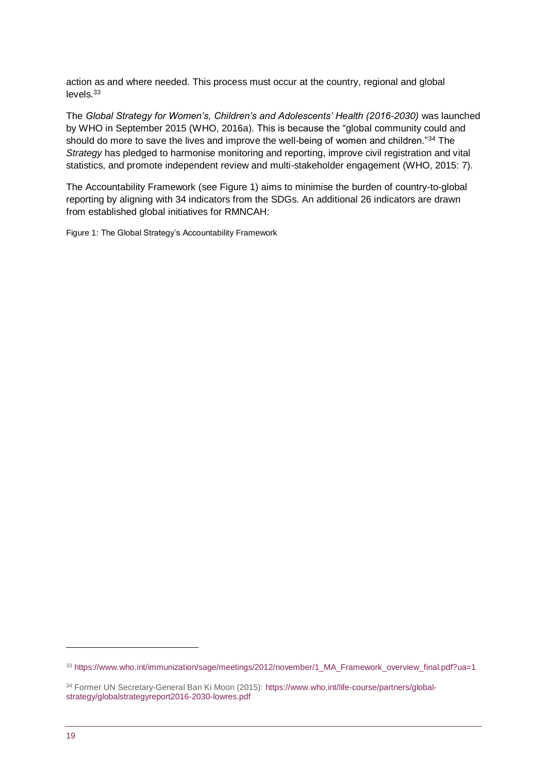action as and where needed. This process must occur at the country, regional and global levels.<sup>33</sup>

The *Global Strategy for Women's, Children's and Adolescents' Health (2016-2030)* was launched by WHO in September 2015 (WHO, 2016a). This is because the "global community could and should do more to save the lives and improve the well-being of women and children."34 The *Strategy* has pledged to harmonise monitoring and reporting, improve civil registration and vital statistics, and promote independent review and multi-stakeholder engagement (WHO, 2015: 7).

The Accountability Framework (see Figure 1) aims to minimise the burden of country-to-global reporting by aligning with 34 indicators from the SDGs. An additional 26 indicators are drawn from established global initiatives for RMNCAH:

Figure 1: The Global Strategy's Accountability Framework

<sup>33</sup> [https://www.who.int/immunization/sage/meetings/2012/november/1\\_MA\\_Framework\\_overview\\_final.pdf?ua=1](https://www.who.int/immunization/sage/meetings/2012/november/1_MA_Framework_overview_final.pdf?ua=1)

<sup>34</sup> Former UN Secretary-General Ban Ki Moon (2015): [https://www.who.int/life-course/partners/global](https://www.who.int/life-course/partners/global-strategy/globalstrategyreport2016-2030-lowres.pdf)[strategy/globalstrategyreport2016-2030-lowres.pdf](https://www.who.int/life-course/partners/global-strategy/globalstrategyreport2016-2030-lowres.pdf)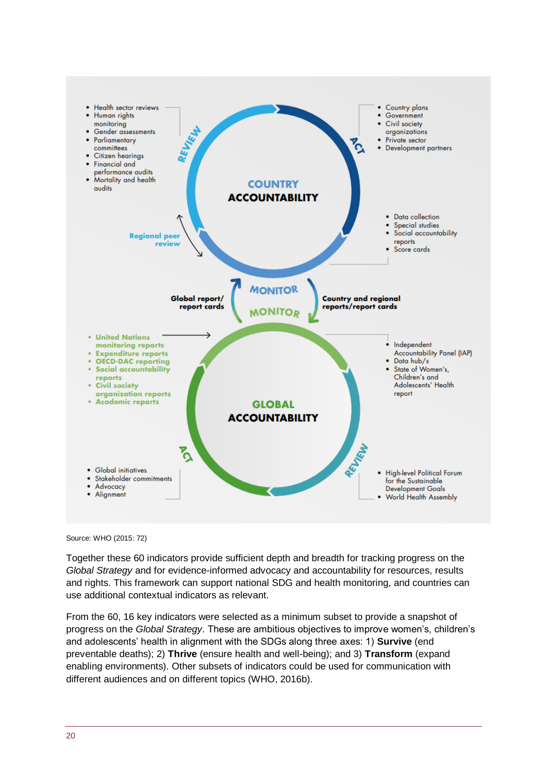

Source: WHO (2015: 72)

Together these 60 indicators provide sufficient depth and breadth for tracking progress on the *Global Strategy* and for evidence-informed advocacy and accountability for resources, results and rights. This framework can support national SDG and health monitoring, and countries can use additional contextual indicators as relevant.

From the 60, 16 key indicators were selected as a minimum subset to provide a snapshot of progress on the *Global Strategy*. These are ambitious objectives to improve women's, children's and adolescents' health in alignment with the SDGs along three axes: 1) **Survive** (end preventable deaths); 2) **Thrive** (ensure health and well-being); and 3) **Transform** (expand enabling environments). Other subsets of indicators could be used for communication with different audiences and on different topics (WHO, 2016b).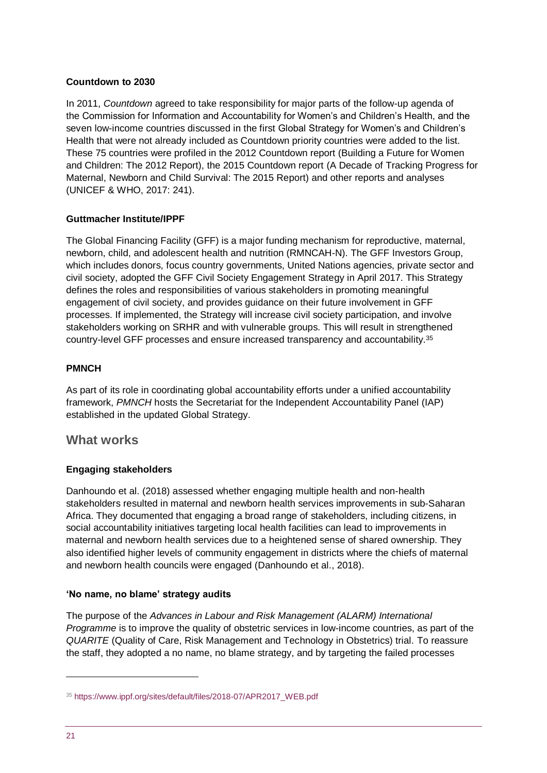#### **Countdown to 2030**

In 2011, *Countdown* agreed to take responsibility for major parts of the follow-up agenda of the Commission for Information and Accountability for Women's and Children's Health, and the seven low-income countries discussed in the first Global Strategy for Women's and Children's Health that were not already included as Countdown priority countries were added to the list. These 75 countries were profiled in the 2012 Countdown report (Building a Future for Women and Children: The 2012 Report), the 2015 Countdown report (A Decade of Tracking Progress for Maternal, Newborn and Child Survival: The 2015 Report) and other reports and analyses (UNICEF & WHO, 2017: 241).

#### **Guttmacher Institute/IPPF**

The Global Financing Facility (GFF) is a major funding mechanism for reproductive, maternal, newborn, child, and adolescent health and nutrition (RMNCAH-N). The GFF Investors Group, which includes donors, focus country governments, United Nations agencies, private sector and civil society, adopted the GFF Civil Society Engagement Strategy in April 2017. This Strategy defines the roles and responsibilities of various stakeholders in promoting meaningful engagement of civil society, and provides guidance on their future involvement in GFF processes. If implemented, the Strategy will increase civil society participation, and involve stakeholders working on SRHR and with vulnerable groups. This will result in strengthened country-level GFF processes and ensure increased transparency and accountability.<sup>35</sup>

#### **PMNCH**

As part of its role in coordinating global accountability efforts under a unified accountability framework, *PMNCH* hosts the Secretariat for the Independent Accountability Panel (IAP) established in the updated Global Strategy.

#### **What works**

#### **Engaging stakeholders**

Danhoundo et al. (2018) assessed whether engaging multiple health and non-health stakeholders resulted in maternal and newborn health services improvements in sub-Saharan Africa. They documented that engaging a broad range of stakeholders, including citizens, in social accountability initiatives targeting local health facilities can lead to improvements in maternal and newborn health services due to a heightened sense of shared ownership. They also identified higher levels of community engagement in districts where the chiefs of maternal and newborn health councils were engaged (Danhoundo et al., 2018).

#### **'No name, no blame' strategy audits**

The purpose of the *Advances in Labour and Risk Management (ALARM) International Programme* is to improve the quality of obstetric services in low-income countries, as part of the *QUARITE* (Quality of Care, Risk Management and Technology in Obstetrics) trial. To reassure the staff, they adopted a no name, no blame strategy, and by targeting the failed processes

<sup>35</sup> [https://www.ippf.org/sites/default/files/2018-07/APR2017\\_WEB.pdf](https://www.ippf.org/sites/default/files/2018-07/APR2017_WEB.pdf)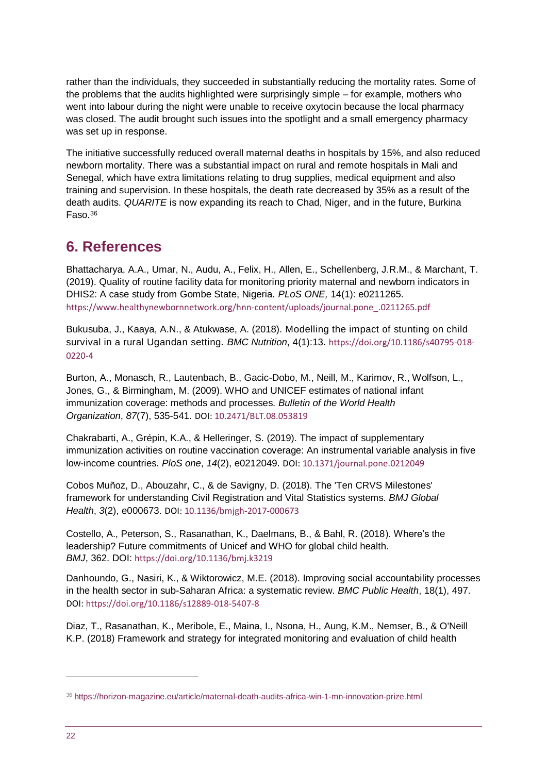rather than the individuals, they succeeded in substantially reducing the mortality rates. Some of the problems that the audits highlighted were surprisingly simple – for example, mothers who went into labour during the night were unable to receive oxytocin because the local pharmacy was closed. The audit brought such issues into the spotlight and a small emergency pharmacy was set up in response.

The initiative successfully reduced overall maternal deaths in hospitals by 15%, and also reduced newborn mortality. There was a substantial impact on rural and remote hospitals in Mali and Senegal, which have extra limitations relating to drug supplies, medical equipment and also training and supervision. In these hospitals, the death rate decreased by 35% as a result of the death audits. *QUARITE* is now expanding its reach to Chad, Niger, and in the future, Burkina Faso.<sup>36</sup>

# **6. References**

Bhattacharya, A.A., Umar, N., Audu, A., Felix, H., Allen, E., Schellenberg, J.R.M., & Marchant, T. (2019). Quality of routine facility data for monitoring priority maternal and newborn indicators in DHIS2: A case study from Gombe State, Nigeria. *PLoS ONE,* 14(1): e0211265. [https://www.healthynewbornnetwork.org/hnn-content/uploads/journal.pone\\_.0211265.pdf](https://www.healthynewbornnetwork.org/hnn-content/uploads/journal.pone_.0211265.pdf)

Bukusuba, J., Kaaya, A.N., & Atukwase, A. (2018). Modelling the impact of stunting on child survival in a rural Ugandan setting. *BMC Nutrition*, 4(1):13. [https://doi.org/10.1186/s40795-018-](https://doi.org/10.1186/s40795-018-0220-4) [0220-4](https://doi.org/10.1186/s40795-018-0220-4)

Burton, A., Monasch, R., Lautenbach, B., Gacic-Dobo, M., Neill, M., Karimov, R., Wolfson, L., Jones, G., & Birmingham, M. (2009). WHO and UNICEF estimates of national infant immunization coverage: methods and processes. *Bulletin of the World Health Organization*, *87*(7), 535-541. DOI: [10.2471/BLT.08.053819](https://dx.doi.org/10.2471%2FBLT.08.053819)

Chakrabarti, A., Grépin, K.A., & Helleringer, S. (2019). The impact of supplementary immunization activities on routine vaccination coverage: An instrumental variable analysis in five low-income countries. *PloS one*, *14*(2), e0212049. DOI: [10.1371/journal.pone.0212049](https://dx.doi.org/10.1371%2Fjournal.pone.0212049)

Cobos Muñoz, D., Abouzahr, C., & de Savigny, D. (2018). The 'Ten CRVS Milestones' framework for understanding Civil Registration and Vital Statistics systems. *BMJ Global Health*, *3*(2), e000673. DOI[: 10.1136/bmjgh-2017-000673](https://dx.doi.org/10.1136%2Fbmjgh-2017-000673)

Costello, A., Peterson, S., Rasanathan, K., Daelmans, B., & Bahl, R. (2018). Where's the leadership? Future commitments of Unicef and WHO for global child health. *BMJ*, 362. DOI: <https://doi.org/10.1136/bmj.k3219>

Danhoundo, G., Nasiri, K., & Wiktorowicz, M.E. (2018). Improving social accountability processes in the health sector in sub-Saharan Africa: a systematic review. *BMC Public Health*, 18(1), 497. DOI[: https://doi.org/10.1186/s12889-018-5407-8](https://doi.org/10.1186/s12889-018-5407-8)

Diaz, T., Rasanathan, K., Meribole, E., Maina, I., Nsona, H., Aung, K.M., Nemser, B., & O'Neill K.P. (2018) [Framework and strategy for integrated monitoring and evaluation of child health](https://www.ncbi.nlm.nih.gov/pubmed/30061104) 

<sup>36</sup> <https://horizon-magazine.eu/article/maternal-death-audits-africa-win-1-mn-innovation-prize.html>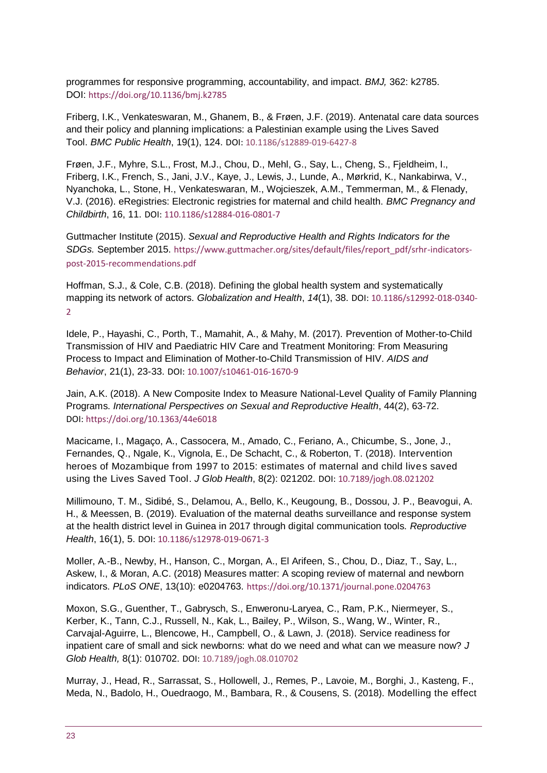[programmes for responsive programming, accountability, and impact.](https://www.ncbi.nlm.nih.gov/pubmed/30061104) *BMJ,* 362: k2785. DOI: <https://doi.org/10.1136/bmj.k2785>

Friberg, I.K., Venkateswaran, M., Ghanem, B., & Frøen, J.F. (2019). Antenatal care data sources and their policy and planning implications: a Palestinian example using the Lives Saved Tool. *BMC Public Health*, 19(1), 124. DOI: [10.1186/s12889-019-6427-8](https://dx.doi.org/10.1186%2Fs12889-019-6427-8)

Frøen, J.F., Myhre, S.L., Frost, M.J., Chou, D., Mehl, G., Say, L., Cheng, S., Fjeldheim, I., Friberg, I.K., French, S., Jani, J.V., Kaye, J., Lewis, J., Lunde, A., Mørkrid, K., Nankabirwa, V., Nyanchoka, L., Stone, H., Venkateswaran, M., Wojcieszek, A.M., Temmerman, M., & Flenady, V.J. (2016). eRegistries: Electronic registries for maternal and child health. *BMC Pregnancy and Childbirth*, 16, 11. DOI: [110.1186/s12884-016-0801-7](https://dx.doi.org/10.1186%2Fs12884-016-0801-7)

Guttmacher Institute (2015). *Sexual and Reproductive Health and Rights Indicators for the SDGs.* September 2015. [https://www.guttmacher.org/sites/default/files/report\\_pdf/srhr-indicators](https://www.guttmacher.org/sites/default/files/report_pdf/srhr-indicators-post-2015-recommendations.pdf)[post-2015-recommendations.pdf](https://www.guttmacher.org/sites/default/files/report_pdf/srhr-indicators-post-2015-recommendations.pdf)

Hoffman, S.J., & Cole, C.B. (2018). Defining the global health system and systematically mapping its network of actors. *Globalization and Health*, *14*(1), 38. DOI[: 10.1186/s12992-018-0340-](https://dx.doi.org/10.1186%2Fs12992-018-0340-2) [2](https://dx.doi.org/10.1186%2Fs12992-018-0340-2)

Idele, P., Hayashi, C., Porth, T., Mamahit, A., & Mahy, M. (2017). Prevention of Mother-to-Child Transmission of HIV and Paediatric HIV Care and Treatment Monitoring: From Measuring Process to Impact and Elimination of Mother-to-Child Transmission of HIV. *AIDS and Behavior*, 21(1), 23-33. DOI: [10.1007/s10461-016-1670-9](https://dx.doi.org/10.1007%2Fs10461-016-1670-9)

Jain, A.K. (2018). A New Composite Index to Measure National-Level Quality of Family Planning Programs. *International Perspectives on Sexual and Reproductive Health*, 44(2), 63-72. DOI: <https://doi.org/10.1363/44e6018>

Macicame, I., Magaço, A., Cassocera, M., Amado, C., Feriano, A., Chicumbe, S., Jone, J., Fernandes, Q., Ngale, K., Vignola, E., De Schacht, C., & Roberton, T. (2018). Intervention heroes of Mozambique from 1997 to 2015: estimates of maternal and child lives saved using the Lives Saved Tool. *J Glob Health*, 8(2): 021202. DOI: [10.7189/jogh.08.021202](https://dx.doi.org/10.7189%2Fjogh.08.021202)

Millimouno, T. M., Sidibé, S., Delamou, A., Bello, K., Keugoung, B., Dossou, J. P., Beavogui, A. H., & Meessen, B. (2019). Evaluation of the maternal deaths surveillance and response system at the health district level in Guinea in 2017 through digital communication tools. *Reproductive Health*, 16(1), 5. DOI[: 10.1186/s12978-019-0671-3](https://dx.doi.org/10.1186%2Fs12978-019-0671-3)

Moller, A.-B., Newby, H., Hanson, C., Morgan, A., El Arifeen, S., Chou, D., Diaz, T., Say, L., Askew, I., & Moran, A.C. (2018) Measures matter: A scoping review of maternal and newborn indicators. *PLoS ONE*, 13(10): e0204763. <https://doi.org/10.1371/journal.pone.0204763>

Moxon, S.G., Guenther, T., Gabrysch, S., Enweronu-Laryea, C., Ram, P.K., Niermeyer, S., Kerber, K., Tann, C.J., Russell, N., Kak, L., Bailey, P., Wilson, S., Wang, W., Winter, R., Carvajal-Aguirre, L., Blencowe, H., Campbell, O., & Lawn, J. (2018). Service readiness for inpatient care of small and sick newborns: what do we need and what can we measure now? *J Glob Health,* 8(1): 010702. DOI: [10.7189/jogh.08.010702](https://doi.org/10.7189/jogh.08.010702)

Murray, J., Head, R., Sarrassat, S., Hollowell, J., Remes, P., Lavoie, M., Borghi, J., Kasteng, F., Meda, N., Badolo, H., Ouedraogo, M., Bambara, R., & Cousens, S. (2018). Modelling the effect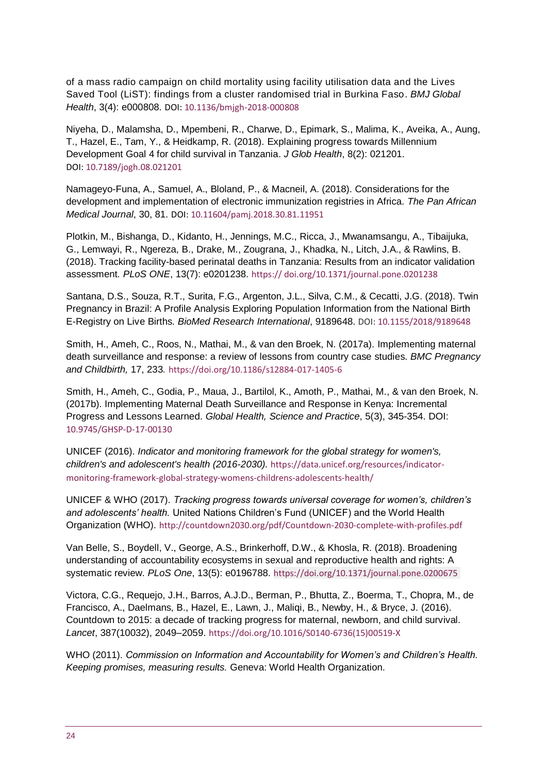of a mass radio campaign on child mortality using facility utilisation data and the Lives Saved Tool (LiST): findings from a cluster randomised trial in Burkina Faso. *BMJ Global Health*, 3(4): e000808. DOI[: 10.1136/bmjgh-2018-000808](https://dx.doi.org/10.1136%2Fbmjgh-2018-000808)

Niyeha, D., Malamsha, D., Mpembeni, R., Charwe, D., Epimark, S., Malima, K., Aveika, A., Aung, T., Hazel, E., Tam, Y., & Heidkamp, R. (2018). [Explaining progress towards Millennium](https://www.ncbi.nlm.nih.gov/pubmed/30643633)  [Development Goal 4 for child survival in Tanzania.](https://www.ncbi.nlm.nih.gov/pubmed/30643633) *J Glob Health*, 8(2): 021201. DOI: [10.7189/jogh.08.021201](https://dx.doi.org/10.7189%2Fjogh.08.021201)

Namageyo-Funa, A., Samuel, A., Bloland, P., & Macneil, A. (2018). Considerations for the development and implementation of electronic immunization registries in Africa. *The Pan African Medical Journal*, 30, 81. DOI[: 10.11604/pamj.2018.30.81.11951](https://dx.doi.org/10.11604%2Fpamj.2018.30.81.11951)

Plotkin, M., Bishanga, D., Kidanto, H., Jennings, M.C., Ricca, J., Mwanamsangu, A., Tibaijuka, G., Lemwayi, R., Ngereza, B., Drake, M., Zougrana, J., Khadka, N., Litch, J.A., & Rawlins, B. (2018). Tracking facility-based perinatal deaths in Tanzania: Results from an indicator validation assessment*. PLoS ONE*, 13(7): e0201238. https:// doi.org/10.1371/journal.pone.0201238

Santana, D.S., Souza, R.T., Surita, F.G., Argenton, J.L., Silva, C.M., & Cecatti, J.G. (2018). Twin Pregnancy in Brazil: A Profile Analysis Exploring Population Information from the National Birth E-Registry on Live Births. *BioMed Research International*, 9189648. DOI: [10.1155/2018/9189648](https://dx.doi.org/10.1155%2F2018%2F9189648)

Smith, H., Ameh, C., Roos, N., Mathai, M., & van den Broek, N. (2017a). Implementing maternal death surveillance and response: a review of lessons from country case studies. *BMC Pregnancy and Childbirth,* 17, 233*.* <https://doi.org/10.1186/s12884-017-1405-6>

Smith, H., Ameh, C., Godia, P., Maua, J., Bartilol, K., Amoth, P., Mathai, M., & van den Broek, N. (2017b). Implementing Maternal Death Surveillance and Response in Kenya: Incremental Progress and Lessons Learned. *Global Health, Science and Practice*, 5(3), 345-354. DOI: [10.9745/GHSP-D-17-00130](https://dx.doi.org/10.9745%2FGHSP-D-17-00130)

UNICEF (2016). *Indicator and monitoring framework for the global strategy for women's, children's and adolescent's health (2016-2030).* [https://data.unicef.org/resources/indicator](https://data.unicef.org/resources/indicator-monitoring-framework-global-strategy-womens-childrens-adolescents-health/)[monitoring-framework-global-strategy-womens-childrens-adolescents-health/](https://data.unicef.org/resources/indicator-monitoring-framework-global-strategy-womens-childrens-adolescents-health/)

UNICEF & WHO (2017). *Tracking progress towards universal coverage for women's, children's and adolescents' health.* United Nations Children's Fund (UNICEF) and the World Health Organization (WHO). <http://countdown2030.org/pdf/Countdown-2030-complete-with-profiles.pdf>

Van Belle, S., Boydell, V., George, A.S., Brinkerhoff, D.W., & Khosla, R. (2018). Broadening understanding of accountability ecosystems in sexual and reproductive health and rights: A systematic review. *PLoS One*, 13(5): e0196788. <https://doi.org/10.1371/journal.pone.0200675>

Victora, C.G., Requejo, J.H., Barros, A.J.D., Berman, P., Bhutta, Z., Boerma, T., Chopra, M., de Francisco, A., Daelmans, B., Hazel, E., Lawn, J., Maliqi, B., Newby, H., & Bryce, J. (2016). Countdown to 2015: a decade of tracking progress for maternal, newborn, and child survival. *Lancet*, 387(10032), 2049–2059. [https://doi.org/10.1016/S0140-6736\(15\)00519-X](https://doi.org/10.1016/S0140-6736(15)00519-X)

WHO (2011). *Commission on Information and Accountability for Women's and Children's Health. Keeping promises, measuring results.* Geneva: World Health Organization.